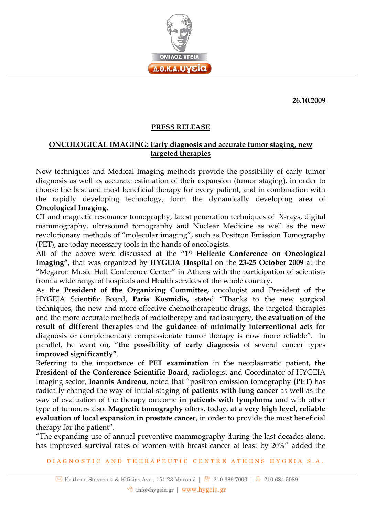

**26.10.2009**

## **PRESS RELEASE**

## **ONCOLOGICAL IMAGING: Early diagnosis and accurate tumor staging, new targeted therapies**

New techniques and Medical Imaging methods provide the possibility of early tumor diagnosis as well as accurate estimation of their expansion (tumor staging), in order to choose the best and most beneficial therapy for every patient, and in combination with the rapidly developing technology, form the dynamically developing area of **Oncological Imaging.**

CT and magnetic resonance tomography, latest generation techniques of X-rays, digital mammography, ultrasound tomography and Nuclear Medicine as well as the new revolutionary methods of "molecular imaging", such as Positron Emission Tomography (PET), are today necessary tools in the hands of oncologists.

All of the above were discussed at the **"1st Hellenic Conference on Oncological Imaging",** that was organized by **HYGEIA Hospital** on the **23-25 October 2009** at the "Megaron Music Hall Conference Center" in Athens with the participation of scientists from a wide range of hospitals and Health services of the whole country.

As the **President of the Organizing Committee,** oncologist and President of the HYGEIA Scientific Board**, Paris Kosmidis,** stated "Thanks to the new surgical techniques, the new and more effective chemotherapeutic drugs, the targeted therapies and the more accurate methods of radiotherapy and radiosurgery, **the evaluation of the result of different therapies** and **the guidance of minimally interventional acts** for diagnosis or complementary compassionate tumor therapy is now more reliable". In parallel, he went on, "**the possibility of early diagnosis** of several cancer types **improved significantly"**.

Referring to the importance of **PET examination** in the neoplasmatic patient, **the President of the Conference Scientific Board,** radiologist and Coordinator of HYGEIA Imaging sector, **Ioannis Andreou,** noted that "positron emission tomography **(PET)** has radically changed the way of initial staging **of patients with lung cancer** as well as the way of evaluation of the therapy outcome **in patients with lymphoma** and with other type of tumours also. **Magnetic tomography** offers, today, **at a very high level, reliable evaluation of local expansion in prostate cancer**, in order to provide the most beneficial therapy for the patient".

"The expanding use of annual preventive mammography during the last decades alone, has improved survival rates of women with breast cancer at least by 20%" added the

DIA G N O STIC AND THERAPEUTIC CENTRE ATHENS HYGEIA S.A.